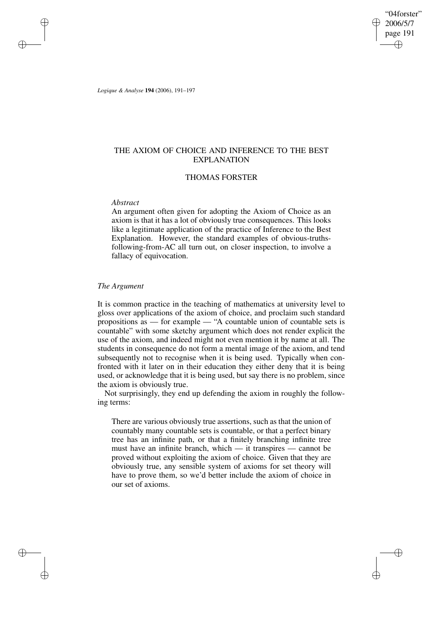"04forster" 2006/5/7 page 191 ✐ ✐

✐

✐

*Logique & Analyse* **194** (2006), 191–197

✐

✐

✐

✐

# THE AXIOM OF CHOICE AND INFERENCE TO THE BEST EXPLANATION

# THOMAS FORSTER

## *Abstract*

An argument often given for adopting the Axiom of Choice as an axiom is that it has a lot of obviously true consequences. This looks like a legitimate application of the practice of Inference to the Best Explanation. However, the standard examples of obvious-truthsfollowing-from-AC all turn out, on closer inspection, to involve a fallacy of equivocation.

## *The Argument*

It is common practice in the teaching of mathematics at university level to gloss over applications of the axiom of choice, and proclaim such standard propositions as — for example — "A countable union of countable sets is countable" with some sketchy argument which does not render explicit the use of the axiom, and indeed might not even mention it by name at all. The students in consequence do not form a mental image of the axiom, and tend subsequently not to recognise when it is being used. Typically when confronted with it later on in their education they either deny that it is being used, or acknowledge that it is being used, but say there is no problem, since the axiom is obviously true.

Not surprisingly, they end up defending the axiom in roughly the following terms:

There are various obviously true assertions, such as that the union of countably many countable sets is countable, or that a perfect binary tree has an infinite path, or that a finitely branching infinite tree must have an infinite branch, which — it transpires — cannot be proved without exploiting the axiom of choice. Given that they are obviously true, any sensible system of axioms for set theory will have to prove them, so we'd better include the axiom of choice in our set of axioms.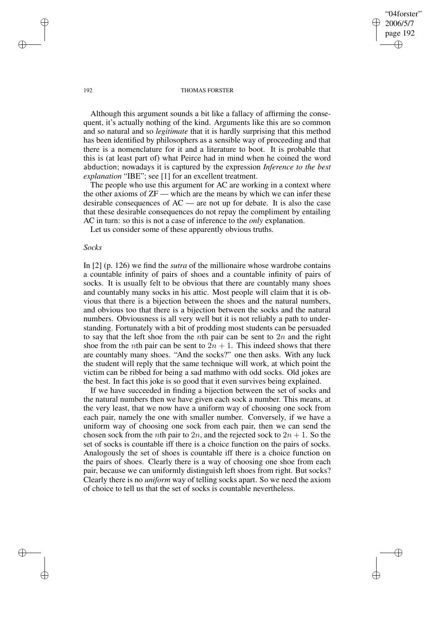"04forster" 2006/5/7 page 192 ✐ ✐

✐

✐

#### 192 THOMAS FORSTER

Although this argument sounds a bit like a fallacy of affirming the consequent, it's actually nothing of the kind. Arguments like this are so common and so natural and so *legitimate* that it is hardly surprising that this method has been identified by philosophers as a sensible way of proceeding and that there is a nomenclature for it and a literature to boot. It is probable that this is (at least part of) what Peirce had in mind when he coined the word abduction; nowadays it is captured by the expression *Inference to the best explanation* "IBE"; see [1] for an excellent treatment.

The people who use this argument for AC are working in a context where the other axioms of ZF — which are the means by which we can infer these desirable consequences of  $AC$  — are not up for debate. It is also the case that these desirable consequences do not repay the compliment by entailing AC in turn: so this is not a case of inference to the *only* explanation.

Let us consider some of these apparently obvious truths.

# *Socks*

In [2] (p. 126) we find the *sutra* of the millionaire whose wardrobe contains a countable infinity of pairs of shoes and a countable infinity of pairs of socks. It is usually felt to be obvious that there are countably many shoes and countably many socks in his attic. Most people will claim that it is obvious that there is a bijection between the shoes and the natural numbers, and obvious too that there is a bijection between the socks and the natural numbers. Obviousness is all very well but it is not reliably a path to understanding. Fortunately with a bit of prodding most students can be persuaded to say that the left shoe from the *n*th pair can be sent to 2*n* and the right shoe from the *n*th pair can be sent to  $2n + 1$ . This indeed shows that there are countably many shoes. "And the socks?" one then asks. With any luck the student will reply that the same technique will work, at which point the victim can be ribbed for being a sad mathmo with odd socks. Old jokes are the best. In fact this joke is so good that it even survives being explained.

If we have succeeded in finding a bijection between the set of socks and the natural numbers then we have given each sock a number. This means, at the very least, that we now have a uniform way of choosing one sock from each pair, namely the one with smaller number. Conversely, if we have a uniform way of choosing one sock from each pair, then we can send the chosen sock from the *n*th pair to 2*n*, and the rejected sock to  $2n + 1$ . So the set of socks is countable iff there is a choice function on the pairs of socks. Analogously the set of shoes is countable iff there is a choice function on the pairs of shoes. Clearly there is a way of choosing one shoe from each pair, because we can uniformly distinguish left shoes from right. But socks? Clearly there is no *uniform* way of telling socks apart. So we need the axiom of choice to tell us that the set of socks is countable nevertheless.

✐

✐

✐

✐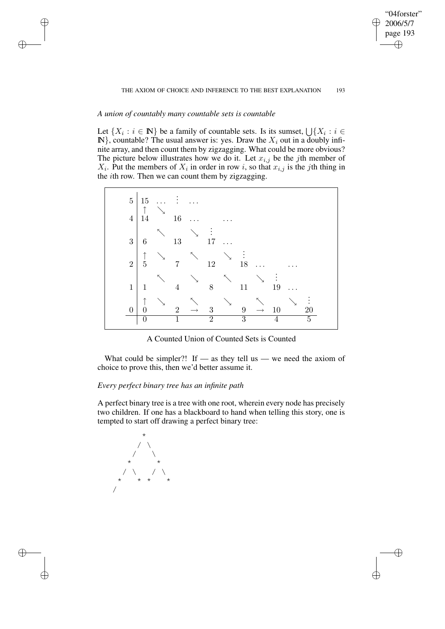## THE AXIOM OF CHOICE AND INFERENCE TO THE BEST EXPLANATION 193

"04forster" 2006/5/7 page 193

✐

✐

✐

✐

# *A union of countably many countable sets is countable*

✐

✐

✐

✐

Let  $\{X_i : i \in \mathbb{N}\}\$  be a family of countable sets. Is its sumset,  $\bigcup \{X_i : i \in \mathbb{N}\}\$  $\mathbb{N}\}$ , countable? The usual answer is: yes. Draw the  $X_i$  out in a doubly infinite array, and then count them by zigzagging. What could be more obvious? The picture below illustrates how we do it. Let  $x_{i,j}$  be the jth member of  $X_i$ . Put the members of  $X_i$  in order in row i, so that  $x_{i,j}$  is the jth thing in the ith row. Then we can count them by zigzagging.

| $\bf 5$        | 15<br>↑                      |    | $\vdots$       |               |                      |                |                |                   |    |   |    |  |
|----------------|------------------------------|----|----------------|---------------|----------------------|----------------|----------------|-------------------|----|---|----|--|
| $\overline{4}$ | 14                           |    | 16             |               |                      |                |                |                   |    |   |    |  |
| $\sqrt{3}$     | 6                            | ĸ. | 13             | ↘             | $\ddot{\cdot}$<br>17 |                |                |                   |    |   |    |  |
| $\sqrt{2}$     | $\uparrow$<br>$\overline{5}$ |    | 7              |               | 12                   | $\overline{ }$ | $\vdots$<br>18 |                   |    |   |    |  |
| $\mathbf{1}$   | 1                            |    | 4              |               | 8                    |                | 11             | ↘                 | 19 |   |    |  |
| 0              | ↑                            | ↘  | $\overline{2}$ | $\rightarrow$ | 3                    | $\searrow$     | 9              | $\longrightarrow$ | 10 | ↘ | 20 |  |
|                | 0                            |    | 1              |               | $\bar{2}$            |                | 3              |                   |    |   | 5  |  |

A Counted Union of Counted Sets is Counted

What could be simpler?! If — as they tell us — we need the axiom of choice to prove this, then we'd better assume it.

# *Every perfect binary tree has an infinite path*

A perfect binary tree is a tree with one root, wherein every node has precisely two children. If one has a blackboard to hand when telling this story, one is tempted to start off drawing a perfect binary tree:

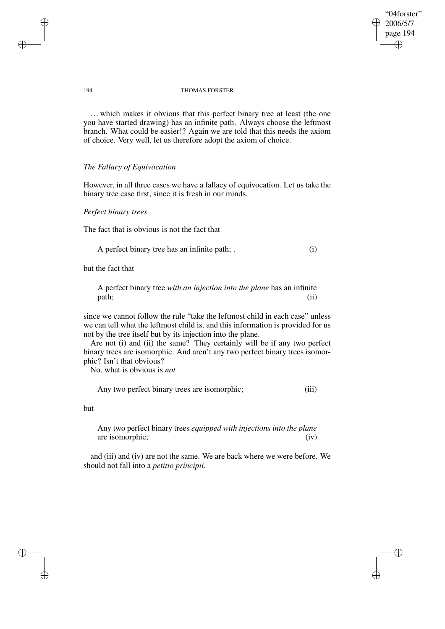# "04forster" 2006/5/7 page 194 ✐ ✐

✐

✐

### 194 THOMAS FORSTER

. . . which makes it obvious that this perfect binary tree at least (the one you have started drawing) has an infinite path. Always choose the leftmost branch. What could be easier!? Again we are told that this needs the axiom of choice. Very well, let us therefore adopt the axiom of choice.

# *The Fallacy of Equivocation*

However, in all three cases we have a fallacy of equivocation. Let us take the binary tree case first, since it is fresh in our minds.

# *Perfect binary trees*

The fact that is obvious is not the fact that

A perfect binary tree has an infinite path; . (i)

but the fact that

A perfect binary tree *with an injection into the plane* has an infinite path; (ii)

since we cannot follow the rule "take the leftmost child in each case" unless we can tell what the leftmost child is, and this information is provided for us not by the tree itself but by its injection into the plane.

Are not (i) and (ii) the same? They certainly will be if any two perfect binary trees are isomorphic. And aren't any two perfect binary trees isomorphic? Isn't that obvious?

No, what is obvious is *not*

Any two perfect binary trees are isomorphic; (iii)

but

✐

✐

Any two perfect binary trees *equipped with injections into the plane* are isomorphic; (iv)

and (iii) and (iv) are not the same. We are back where we were before. We should not fall into a *petitio principii*.

✐

✐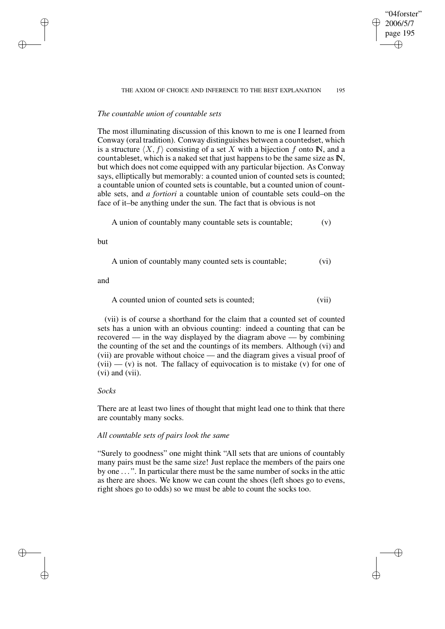#### THE AXIOM OF CHOICE AND INFERENCE TO THE BEST EXPLANATION 195

"04forster" 2006/5/7 page 195

✐

✐

✐

✐

# *The countable union of countable sets*

The most illuminating discussion of this known to me is one I learned from Conway (oral tradition). Conway distinguishes between a countedset, which is a structure  $\langle X, f \rangle$  consisting of a set X with a bijection f onto **N**, and a countableset, which is a naked set that just happens to be the same size as IN, but which does not come equipped with any particular bijection. As Conway says, elliptically but memorably: a counted union of counted sets is counted; a countable union of counted sets is countable, but a counted union of countable sets, and *a fortiori* a countable union of countable sets could–on the face of it–be anything under the sun. The fact that is obvious is not

A union of countably many countable sets is countable; (v)

but

✐

✐

✐

✐

A union of countably many counted sets is countable; (vi)

and

A counted union of counted sets is counted; (vii)

(vii) is of course a shorthand for the claim that a counted set of counted sets has a union with an obvious counting: indeed a counting that can be recovered — in the way displayed by the diagram above — by combining the counting of the set and the countings of its members. Although (vi) and (vii) are provable without choice — and the diagram gives a visual proof of  $(vii)$  —  $(v)$  is not. The fallacy of equivocation is to mistake  $(v)$  for one of (vi) and (vii).

## *Socks*

There are at least two lines of thought that might lead one to think that there are countably many socks.

## *All countable sets of pairs look the same*

"Surely to goodness" one might think "All sets that are unions of countably many pairs must be the same size! Just replace the members of the pairs one by one . . . ". In particular there must be the same number of socks in the attic as there are shoes. We know we can count the shoes (left shoes go to evens, right shoes go to odds) so we must be able to count the socks too.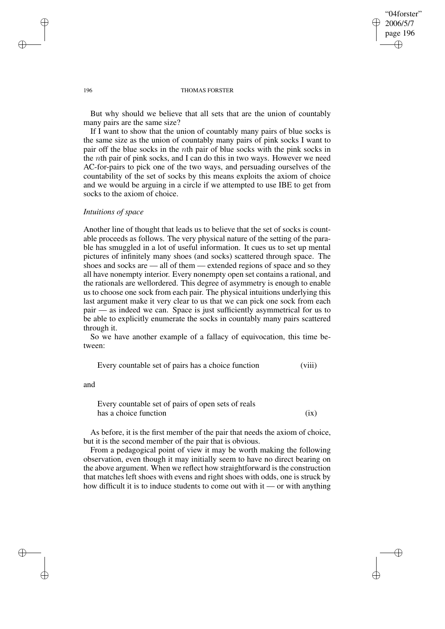✐

✐

#### 196 THOMAS FORSTER

But why should we believe that all sets that are the union of countably many pairs are the same size?

If I want to show that the union of countably many pairs of blue socks is the same size as the union of countably many pairs of pink socks I want to pair off the blue socks in the nth pair of blue socks with the pink socks in the nth pair of pink socks, and I can do this in two ways. However we need AC-for-pairs to pick one of the two ways, and persuading ourselves of the countability of the set of socks by this means exploits the axiom of choice and we would be arguing in a circle if we attempted to use IBE to get from socks to the axiom of choice.

# *Intuitions of space*

Another line of thought that leads us to believe that the set of socks is countable proceeds as follows. The very physical nature of the setting of the parable has smuggled in a lot of useful information. It cues us to set up mental pictures of infinitely many shoes (and socks) scattered through space. The shoes and socks are — all of them — extended regions of space and so they all have nonempty interior. Every nonempty open set contains a rational, and the rationals are wellordered. This degree of asymmetry is enough to enable us to choose one sock from each pair. The physical intuitions underlying this last argument make it very clear to us that we can pick one sock from each pair — as indeed we can. Space is just sufficiently asymmetrical for us to be able to explicitly enumerate the socks in countably many pairs scattered through it.

So we have another example of a fallacy of equivocation, this time between:

Every countable set of pairs has a choice function (viii)

and

✐

✐

Every countable set of pairs of open sets of reals has a choice function  $(ix)$ 

As before, it is the first member of the pair that needs the axiom of choice, but it is the second member of the pair that is obvious.

From a pedagogical point of view it may be worth making the following observation, even though it may initially seem to have no direct bearing on the above argument. When we reflect how straightforward is the construction that matches left shoes with evens and right shoes with odds, one is struck by how difficult it is to induce students to come out with it — or with anything

✐

✐